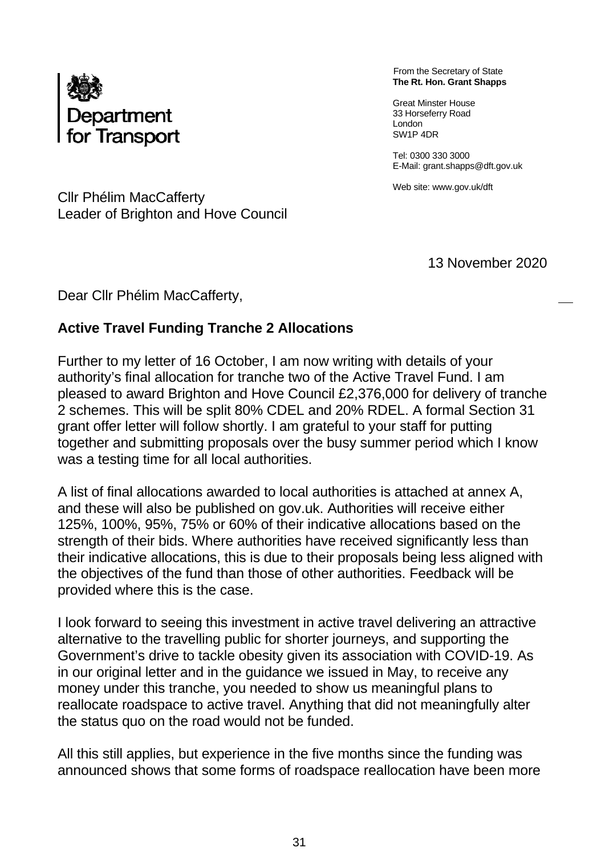

From the Secretary of State **The Rt. Hon. Grant Shapps** 

Great Minster House 33 Horseferry Road London SW1P 4DR

Tel: 0300 330 3000 E-Mail: grant.shapps@dft.gov.uk

Web site: www.gov.uk/dft

Cllr Phélim MacCafferty Leader of Brighton and Hove Council

13 November 2020

Dear Cllr Phélim MacCafferty,

### **Active Travel Funding Tranche 2 Allocations**

Further to my letter of 16 October, I am now writing with details of your authority's final allocation for tranche two of the Active Travel Fund. I am pleased to award Brighton and Hove Council £2,376,000 for delivery of tranche 2 schemes. This will be split 80% CDEL and 20% RDEL. A formal Section 31 grant offer letter will follow shortly. I am grateful to your staff for putting together and submitting proposals over the busy summer period which I know was a testing time for all local authorities.

A list of final allocations awarded to local authorities is attached at annex A, and these will also be published on gov.uk. Authorities will receive either 125%, 100%, 95%, 75% or 60% of their indicative allocations based on the strength of their bids. Where authorities have received significantly less than their indicative allocations, this is due to their proposals being less aligned with the objectives of the fund than those of other authorities. Feedback will be provided where this is the case.

I look forward to seeing this investment in active travel delivering an attractive alternative to the travelling public for shorter journeys, and supporting the Government's drive to tackle obesity given its association with COVID-19. As in our original letter and in the guidance we issued in May, to receive any money under this tranche, you needed to show us meaningful plans to reallocate roadspace to active travel. Anything that did not meaningfully alter the status quo on the road would not be funded.

All this still applies, but experience in the five months since the funding was announced shows that some forms of roadspace reallocation have been more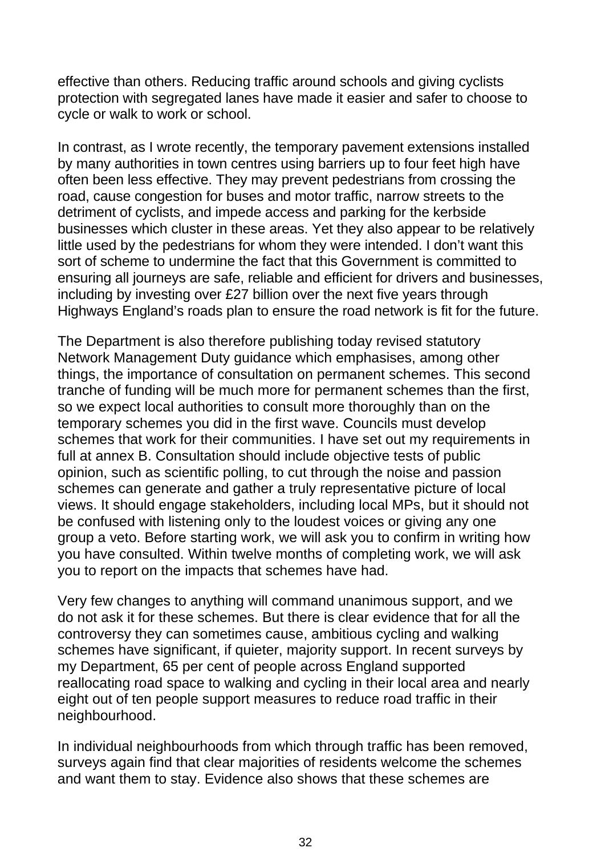effective than others. Reducing traffic around schools and giving cyclists protection with segregated lanes have made it easier and safer to choose to cycle or walk to work or school.

In contrast, as I wrote recently, the temporary pavement extensions installed by many authorities in town centres using barriers up to four feet high have often been less effective. They may prevent pedestrians from crossing the road, cause congestion for buses and motor traffic, narrow streets to the detriment of cyclists, and impede access and parking for the kerbside businesses which cluster in these areas. Yet they also appear to be relatively little used by the pedestrians for whom they were intended. I don't want this sort of scheme to undermine the fact that this Government is committed to ensuring all journeys are safe, reliable and efficient for drivers and businesses, including by investing over £27 billion over the next five years through Highways England's roads plan to ensure the road network is fit for the future.

The Department is also therefore publishing today revised statutory Network Management Duty guidance which emphasises, among other things, the importance of consultation on permanent schemes. This second tranche of funding will be much more for permanent schemes than the first, so we expect local authorities to consult more thoroughly than on the temporary schemes you did in the first wave. Councils must develop schemes that work for their communities. I have set out my requirements in full at annex B. Consultation should include objective tests of public opinion, such as scientific polling, to cut through the noise and passion schemes can generate and gather a truly representative picture of local views. It should engage stakeholders, including local MPs, but it should not be confused with listening only to the loudest voices or giving any one group a veto. Before starting work, we will ask you to confirm in writing how you have consulted. Within twelve months of completing work, we will ask you to report on the impacts that schemes have had.

Very few changes to anything will command unanimous support, and we do not ask it for these schemes. But there is clear evidence that for all the controversy they can sometimes cause, ambitious cycling and walking schemes have significant, if quieter, majority support. In recent surveys by my Department, 65 per cent of people across England supported reallocating road space to walking and cycling in their local area and nearly eight out of ten people support measures to reduce road traffic in their neighbourhood.

In individual neighbourhoods from which through traffic has been removed, surveys again find that clear majorities of residents welcome the schemes and want them to stay. Evidence also shows that these schemes are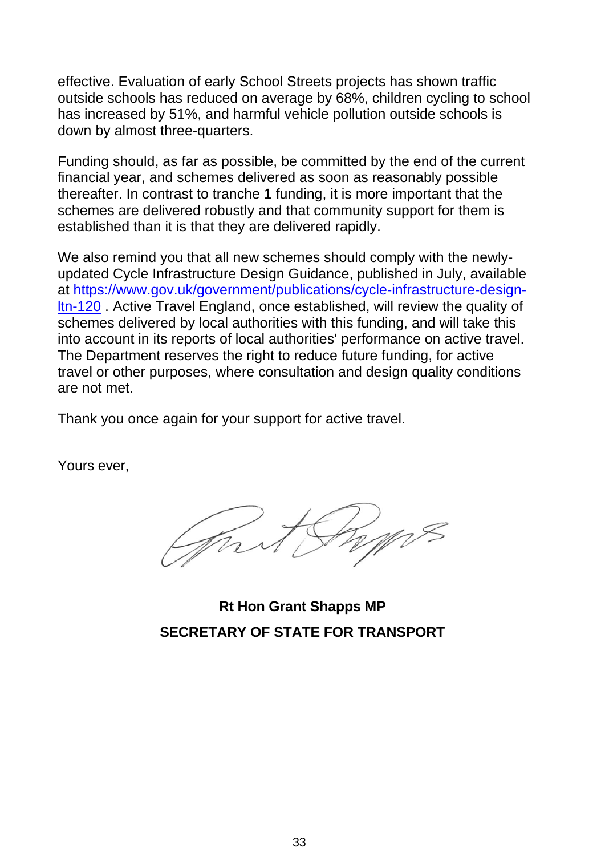effective. Evaluation of early School Streets projects has shown traffic outside schools has reduced on average by 68%, children cycling to school has increased by 51%, and harmful vehicle pollution outside schools is down by almost three-quarters.

Funding should, as far as possible, be committed by the end of the current financial year, and schemes delivered as soon as reasonably possible thereafter. In contrast to tranche 1 funding, it is more important that the schemes are delivered robustly and that community support for them is established than it is that they are delivered rapidly.

We also remind you that all new schemes should comply with the newlyupdated Cycle Infrastructure Design Guidance, published in July, available at [https://www.gov.uk/government/publications/cycle-infrastructure-design](https://www.gov.uk/government/publications/cycle-infrastructure-design-ltn-120)[ltn-120](https://www.gov.uk/government/publications/cycle-infrastructure-design-ltn-120) . Active Travel England, once established, will review the quality of schemes delivered by local authorities with this funding, and will take this into account in its reports of local authorities' performance on active travel. The Department reserves the right to reduce future funding, for active travel or other purposes, where consultation and design quality conditions are not met.

Thank you once again for your support for active travel.

Yours ever,

**Rt Hon Grant Shapps MP SECRETARY OF STATE FOR TRANSPORT**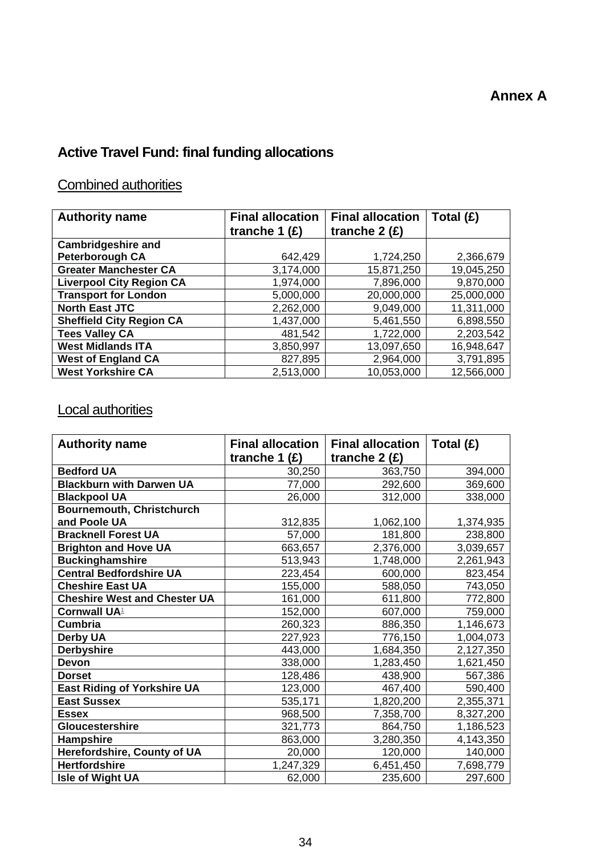# **Active Travel Fund: final funding allocations**

## Combined authorities

| <b>Authority name</b>           | <b>Final allocation</b> | <b>Final allocation</b> | Total (£)  |
|---------------------------------|-------------------------|-------------------------|------------|
|                                 | tranche 1 $(E)$         | tranche $2(f)$          |            |
| <b>Cambridgeshire and</b>       |                         |                         |            |
| <b>Peterborough CA</b>          | 642,429                 | 1,724,250               | 2,366,679  |
| <b>Greater Manchester CA</b>    | 3,174,000               | 15,871,250              | 19,045,250 |
| <b>Liverpool City Region CA</b> | 1,974,000               | 7,896,000               | 9,870,000  |
| <b>Transport for London</b>     | 5,000,000               | 20,000,000              | 25,000,000 |
| <b>North East JTC</b>           | 2,262,000               | 9,049,000               | 11,311,000 |
| <b>Sheffield City Region CA</b> | 1,437,000               | 5,461,550               | 6,898,550  |
| <b>Tees Valley CA</b>           | 481,542                 | 1,722,000               | 2,203,542  |
| <b>West Midlands ITA</b>        | 3,850,997               | 13,097,650              | 16,948,647 |
| <b>West of England CA</b>       | 827,895                 | 2,964,000               | 3,791,895  |
| <b>West Yorkshire CA</b>        | 2,513,000               | 10,053,000              | 12,566,000 |

# Local authorities

| <b>Authority name</b>               | <b>Final allocation</b> | <b>Final allocation</b> | Total $(E)$ |
|-------------------------------------|-------------------------|-------------------------|-------------|
|                                     | tranche 1 $(E)$         | tranche $2(f)$          |             |
| <b>Bedford UA</b>                   | 30,250                  | 363,750                 | 394,000     |
| <b>Blackburn with Darwen UA</b>     | 77,000                  | 292,600                 | 369,600     |
| <b>Blackpool UA</b>                 | 26,000                  | 312,000                 | 338,000     |
| <b>Bournemouth, Christchurch</b>    |                         |                         |             |
| and Poole UA                        | 312,835                 | 1,062,100               | 1,374,935   |
| <b>Bracknell Forest UA</b>          | 57,000                  | 181,800                 | 238,800     |
| <b>Brighton and Hove UA</b>         | 663,657                 | 2,376,000               | 3,039,657   |
| <b>Buckinghamshire</b>              | 513,943                 | 1,748,000               | 2,261,943   |
| Central Bedfordshire UA             | 223,454                 | 600,000                 | 823,454     |
| <b>Cheshire East UA</b>             | 155,000                 | 588,050                 | 743,050     |
| <b>Cheshire West and Chester UA</b> | 161,000                 | 611,800                 | 772,800     |
| <b>Cornwall UA1</b>                 | 152,000                 | 607,000                 | 759,000     |
| <b>Cumbria</b>                      | 260,323                 | 886,350                 | 1,146,673   |
| <b>Derby UA</b>                     | 227,923                 | 776,150                 | 1,004,073   |
| <b>Derbyshire</b>                   | 443,000                 | 1,684,350               | 2,127,350   |
| <b>Devon</b>                        | 338,000                 | 1,283,450               | 1,621,450   |
| <b>Dorset</b>                       | 128,486                 | 438,900                 | 567,386     |
| <b>East Riding of Yorkshire UA</b>  | 123,000                 | 467,400                 | 590,400     |
| <b>East Sussex</b>                  | 535,171                 | 1,820,200               | 2,355,371   |
| <b>Essex</b>                        | 968,500                 | 7,358,700               | 8,327,200   |
| <b>Gloucestershire</b>              | 321,773                 | 864,750                 | 1,186,523   |
| <b>Hampshire</b>                    | 863,000                 | 3,280,350               | 4,143,350   |
| Herefordshire, County of UA         | 20,000                  | 120,000                 | 140,000     |
| <b>Hertfordshire</b>                | 1,247,329               | 6,451,450               | 7,698,779   |
| <b>Isle of Wight UA</b>             | 62,000                  | 235,600                 | 297,600     |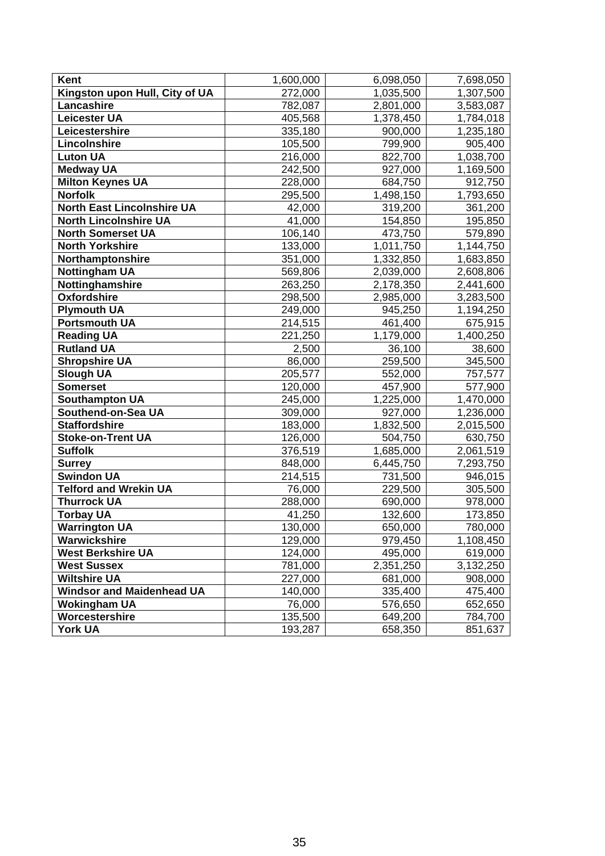| Kent                              | 1,600,000 | 6,098,050 | 7,698,050 |
|-----------------------------------|-----------|-----------|-----------|
| Kingston upon Hull, City of UA    | 272,000   | 1,035,500 | 1,307,500 |
| Lancashire                        | 782,087   | 2,801,000 | 3,583,087 |
| <b>Leicester UA</b>               | 405,568   | 1,378,450 | 1,784,018 |
| Leicestershire                    | 335,180   | 900,000   | 1,235,180 |
| Lincolnshire                      | 105,500   | 799,900   | 905,400   |
| <b>Luton UA</b>                   | 216,000   | 822,700   | 1,038,700 |
| <b>Medway UA</b>                  | 242,500   | 927,000   | 1,169,500 |
| <b>Milton Keynes UA</b>           | 228,000   | 684,750   | 912,750   |
| <b>Norfolk</b>                    | 295,500   | 1,498,150 | 1,793,650 |
| <b>North East Lincolnshire UA</b> | 42,000    | 319,200   | 361,200   |
| <b>North Lincolnshire UA</b>      | 41,000    | 154,850   | 195,850   |
| <b>North Somerset UA</b>          | 106,140   | 473,750   | 579,890   |
| <b>North Yorkshire</b>            | 133,000   | 1,011,750 | 1,144,750 |
| Northamptonshire                  | 351,000   | 1,332,850 | 1,683,850 |
| <b>Nottingham UA</b>              | 569,806   | 2,039,000 | 2,608,806 |
| Nottinghamshire                   | 263,250   | 2,178,350 | 2,441,600 |
| <b>Oxfordshire</b>                | 298,500   | 2,985,000 | 3,283,500 |
| <b>Plymouth UA</b>                | 249,000   | 945,250   | 1,194,250 |
| <b>Portsmouth UA</b>              | 214,515   | 461,400   | 675,915   |
| <b>Reading UA</b>                 | 221,250   | 1,179,000 | 1,400,250 |
| <b>Rutland UA</b>                 | 2,500     | 36,100    | 38,600    |
| <b>Shropshire UA</b>              | 86,000    | 259,500   | 345,500   |
| <b>Slough UA</b>                  | 205,577   | 552,000   | 757,577   |
| <b>Somerset</b>                   | 120,000   | 457,900   | 577,900   |
| <b>Southampton UA</b>             | 245,000   | 1,225,000 | 1,470,000 |
| Southend-on-Sea UA                | 309,000   | 927,000   | 1,236,000 |
| <b>Staffordshire</b>              | 183,000   | 1,832,500 | 2,015,500 |
| <b>Stoke-on-Trent UA</b>          | 126,000   | 504,750   | 630,750   |
| <b>Suffolk</b>                    | 376,519   | 1,685,000 | 2,061,519 |
| <b>Surrey</b>                     | 848,000   | 6,445,750 | 7,293,750 |
| <b>Swindon UA</b>                 | 214,515   | 731,500   | 946,015   |
| <b>Telford and Wrekin UA</b>      | 76,000    | 229,500   | 305,500   |
| <b>Thurrock UA</b>                | 288,000   | 690,000   | 978,000   |
| <b>Torbay UA</b>                  | 41,250    | 132,600   | 173,850   |
| <b>Warrington UA</b>              | 130,000   | 650,000   | 780,000   |
| Warwickshire                      | 129,000   | 979,450   | 1,108,450 |
| <b>West Berkshire UA</b>          | 124,000   | 495,000   | 619,000   |
| <b>West Sussex</b>                | 781,000   | 2,351,250 | 3,132,250 |
| <b>Wiltshire UA</b>               | 227,000   | 681,000   | 908,000   |
| <b>Windsor and Maidenhead UA</b>  | 140,000   | 335,400   | 475,400   |
| <b>Wokingham UA</b>               | 76,000    | 576,650   | 652,650   |
| Worcestershire                    | 135,500   | 649,200   | 784,700   |
| <b>York UA</b>                    | 193,287   | 658,350   | 851,637   |